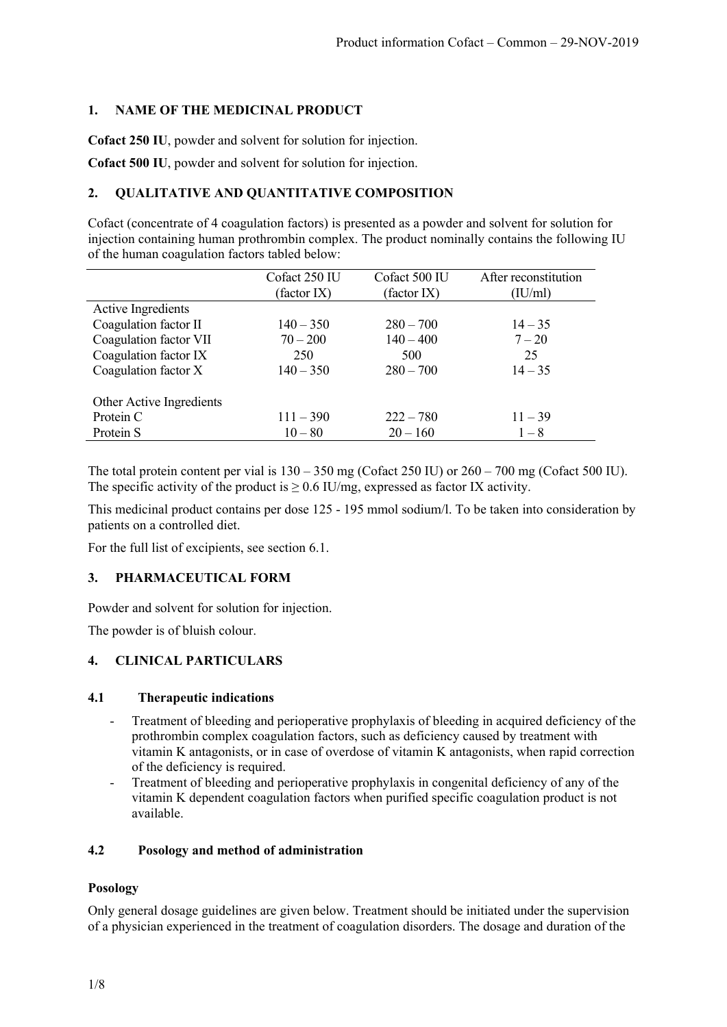# **1. NAME OF THE MEDICINAL PRODUCT**

**Cofact 250 IU**, powder and solvent for solution for injection.

**Cofact 500 IU**, powder and solvent for solution for injection.

# **2. QUALITATIVE AND QUANTITATIVE COMPOSITION**

Cofact (concentrate of 4 coagulation factors) is presented as a powder and solvent for solution for injection containing human prothrombin complex. The product nominally contains the following IU of the human coagulation factors tabled below:

|                          | Cofact 250 IU | Cofact 500 IU | After reconstitution |
|--------------------------|---------------|---------------|----------------------|
|                          | (factor IX)   | (factor IX)   | (IU/ml)              |
| Active Ingredients       |               |               |                      |
| Coagulation factor II    | $140 - 350$   | $280 - 700$   | $14 - 35$            |
| Coagulation factor VII   | $70 - 200$    | $140 - 400$   | $7 - 20$             |
| Coagulation factor IX    | 250           | 500           | 25                   |
| Coagulation factor X     | $140 - 350$   | $280 - 700$   | $14 - 35$            |
| Other Active Ingredients |               |               |                      |
| Protein C                | $111 - 390$   | $222 - 780$   | $11 - 39$            |
| Protein S                | $10 - 80$     | $20 - 160$    | $1 - 8$              |

The total protein content per vial is  $130 - 350$  mg (Cofact 250 IU) or  $260 - 700$  mg (Cofact 500 IU). The specific activity of the product is  $\geq 0.6$  IU/mg, expressed as factor IX activity.

This medicinal product contains per dose 125 - 195 mmol sodium/l. To be taken into consideration by patients on a controlled diet.

For the full list of excipients, see section 6.1.

## **3. PHARMACEUTICAL FORM**

Powder and solvent for solution for injection.

The powder is of bluish colour.

## **4. CLINICAL PARTICULARS**

## **4.1 Therapeutic indications**

- Treatment of bleeding and perioperative prophylaxis of bleeding in acquired deficiency of the prothrombin complex coagulation factors, such as deficiency caused by treatment with vitamin K antagonists, or in case of overdose of vitamin K antagonists, when rapid correction of the deficiency is required.
- Treatment of bleeding and perioperative prophylaxis in congenital deficiency of any of the vitamin K dependent coagulation factors when purified specific coagulation product is not available.

## **4.2 Posology and method of administration**

## **Posology**

Only general dosage guidelines are given below. Treatment should be initiated under the supervision of a physician experienced in the treatment of coagulation disorders. The dosage and duration of the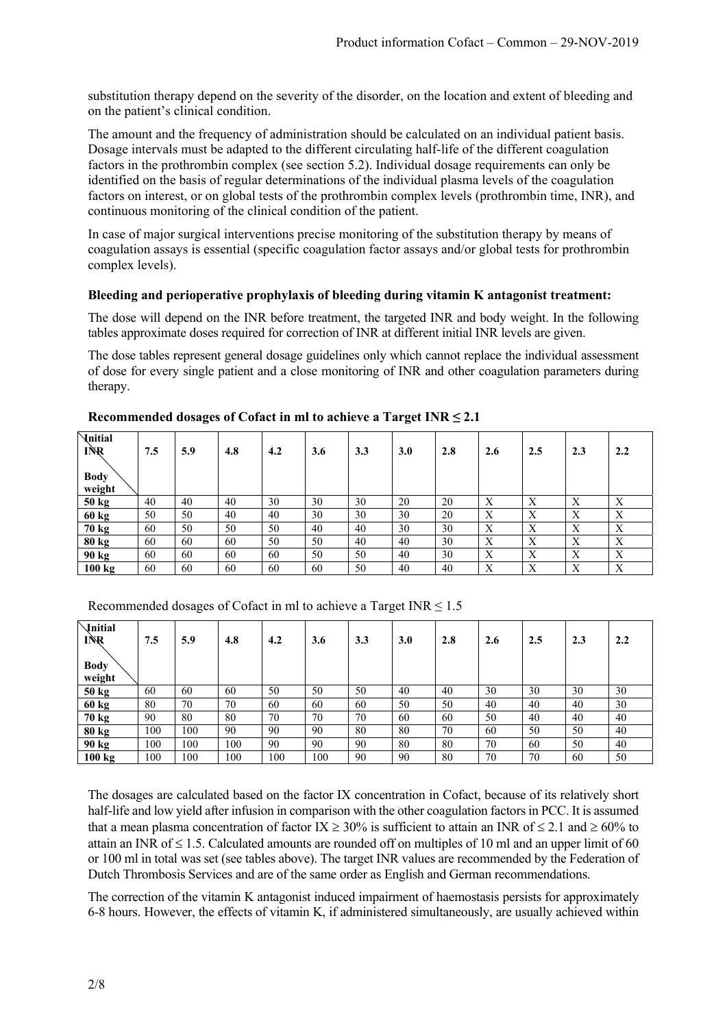substitution therapy depend on the severity of the disorder, on the location and extent of bleeding and on the patient's clinical condition.

The amount and the frequency of administration should be calculated on an individual patient basis. Dosage intervals must be adapted to the different circulating half-life of the different coagulation factors in the prothrombin complex (see section 5.2). Individual dosage requirements can only be identified on the basis of regular determinations of the individual plasma levels of the coagulation factors on interest, or on global tests of the prothrombin complex levels (prothrombin time, INR), and continuous monitoring of the clinical condition of the patient.

In case of major surgical interventions precise monitoring of the substitution therapy by means of coagulation assays is essential (specific coagulation factor assays and/or global tests for prothrombin complex levels).

#### **Bleeding and perioperative prophylaxis of bleeding during vitamin K antagonist treatment:**

The dose will depend on the INR before treatment, the targeted INR and body weight. In the following tables approximate doses required for correction of INR at different initial INR levels are given.

The dose tables represent general dosage guidelines only which cannot replace the individual assessment of dose for every single patient and a close monitoring of INR and other coagulation parameters during therapy.

| <b>Initial</b><br>INR<br><b>Body</b> | 7.5 | 5.9 | 4.8 | 4.2 | 3.6 | 3.3 | 3.0 | 2.8 | 2.6 | 2.5 | 2.3                       | 2.2 |
|--------------------------------------|-----|-----|-----|-----|-----|-----|-----|-----|-----|-----|---------------------------|-----|
| weight                               |     |     |     |     |     |     |     |     |     |     |                           |     |
| 50 kg                                | 40  | 40  | 40  | 30  | 30  | 30  | 20  | 20  | Χ   | Χ   | X                         | Х   |
| 60 kg                                | 50  | 50  | 40  | 40  | 30  | 30  | 30  | 20  | X   | Χ   | $\boldsymbol{\mathrm{X}}$ | X   |
| 70 kg                                | 60  | 50  | 50  | 50  | 40  | 40  | 30  | 30  | Χ   | Χ   | X                         | Х   |
| 80 kg                                | 60  | 60  | 60  | 50  | 50  | 40  | 40  | 30  | Χ   | Χ   | X                         | X   |
| 90 kg                                | 60  | 60  | 60  | 60  | 50  | 50  | 40  | 30  | X   | X   | X                         | X   |
| 100 kg                               | 60  | 60  | 60  | 60  | 60  | 50  | 40  | 40  | Χ   | Χ   | X                         | X   |

#### **Recommended dosages of Cofact in ml to achieve a Target INR ≤ 2.1**

Recommended dosages of Cofact in ml to achieve a Target  $INR \leq 1.5$ 

| <i><u><b>Initial</b></u></i><br>INR<br><b>Body</b><br>weight | 7.5 | 5.9 | 4.8 | 4.2 | 3.6 | 3.3 | 3.0 | 2.8 | 2.6 | 2.5 | 2.3 | 2.2 |
|--------------------------------------------------------------|-----|-----|-----|-----|-----|-----|-----|-----|-----|-----|-----|-----|
| 50 kg                                                        | 60  | 60  | 60  | 50  | 50  | 50  | 40  | 40  | 30  | 30  | 30  | 30  |
| 60 kg                                                        | 80  | 70  | 70  | 60  | 60  | 60  | 50  | 50  | 40  | 40  | 40  | 30  |
| 70 kg                                                        | 90  | 80  | 80  | 70  | 70  | 70  | 60  | 60  | 50  | 40  | 40  | 40  |
| 80 kg                                                        | 100 | 100 | 90  | 90  | 90  | 80  | 80  | 70  | 60  | 50  | 50  | 40  |
| $90 \text{ kg}$                                              | 100 | 100 | 100 | 90  | 90  | 90  | 80  | 80  | 70  | 60  | 50  | 40  |
| 100 kg                                                       | 100 | 100 | 100 | 100 | 100 | 90  | 90  | 80  | 70  | 70  | 60  | 50  |

The dosages are calculated based on the factor IX concentration in Cofact, because of its relatively short half-life and low yield after infusion in comparison with the other coagulation factors in PCC. It is assumed that a mean plasma concentration of factor IX  $\geq$  30% is sufficient to attain an INR of  $\leq$  2.1 and  $\geq$  60% to attain an INR of  $\leq 1.5$ . Calculated amounts are rounded off on multiples of 10 ml and an upper limit of 60 or 100 ml in total was set (see tables above). The target INR values are recommended by the Federation of Dutch Thrombosis Services and are of the same order as English and German recommendations.

The correction of the vitamin K antagonist induced impairment of haemostasis persists for approximately 6-8 hours. However, the effects of vitamin K, if administered simultaneously, are usually achieved within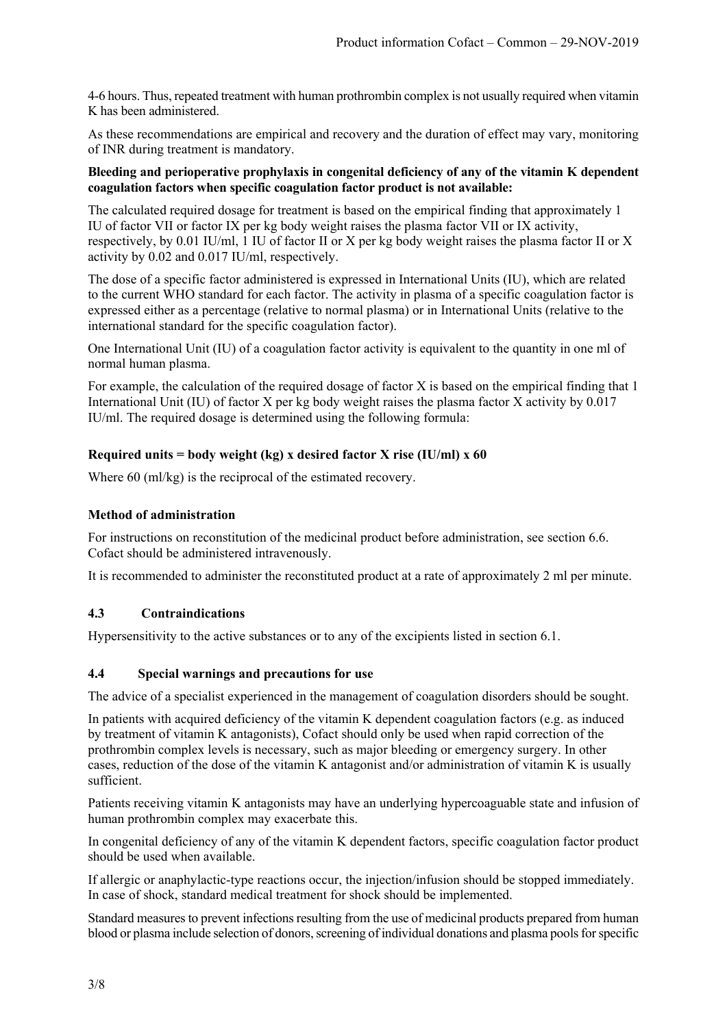4-6 hours. Thus, repeated treatment with human prothrombin complex is not usually required when vitamin K has been administered.

As these recommendations are empirical and recovery and the duration of effect may vary, monitoring of INR during treatment is mandatory.

#### **Bleeding and perioperative prophylaxis in congenital deficiency of any of the vitamin K dependent coagulation factors when specific coagulation factor product is not available:**

The calculated required dosage for treatment is based on the empirical finding that approximately 1 IU of factor VII or factor IX per kg body weight raises the plasma factor VII or IX activity, respectively, by 0.01 IU/ml, 1 IU of factor II or X per kg body weight raises the plasma factor II or X activity by 0.02 and 0.017 IU/ml, respectively.

The dose of a specific factor administered is expressed in International Units (IU), which are related to the current WHO standard for each factor. The activity in plasma of a specific coagulation factor is expressed either as a percentage (relative to normal plasma) or in International Units (relative to the international standard for the specific coagulation factor).

One International Unit (IU) of a coagulation factor activity is equivalent to the quantity in one ml of normal human plasma.

For example, the calculation of the required dosage of factor X is based on the empirical finding that 1 International Unit (IU) of factor X per kg body weight raises the plasma factor X activity by 0.017 IU/ml. The required dosage is determined using the following formula:

## **Required units = body weight (kg) x desired factor X rise (IU/ml) x 60**

Where 60 (ml/kg) is the reciprocal of the estimated recovery.

### **Method of administration**

For instructions on reconstitution of the medicinal product before administration, see section 6.6. Cofact should be administered intravenously.

It is recommended to administer the reconstituted product at a rate of approximately 2 ml per minute.

## **4.3 Contraindications**

Hypersensitivity to the active substances or to any of the excipients listed in section 6.1.

## **4.4 Special warnings and precautions for use**

The advice of a specialist experienced in the management of coagulation disorders should be sought.

In patients with acquired deficiency of the vitamin K dependent coagulation factors (e.g. as induced by treatment of vitamin K antagonists), Cofact should only be used when rapid correction of the prothrombin complex levels is necessary, such as major bleeding or emergency surgery. In other cases, reduction of the dose of the vitamin K antagonist and/or administration of vitamin K is usually sufficient.

Patients receiving vitamin K antagonists may have an underlying hypercoaguable state and infusion of human prothrombin complex may exacerbate this.

In congenital deficiency of any of the vitamin K dependent factors, specific coagulation factor product should be used when available.

If allergic or anaphylactic-type reactions occur, the injection/infusion should be stopped immediately. In case of shock, standard medical treatment for shock should be implemented.

Standard measures to prevent infections resulting from the use of medicinal products prepared from human blood or plasma include selection of donors, screening of individual donations and plasma pools for specific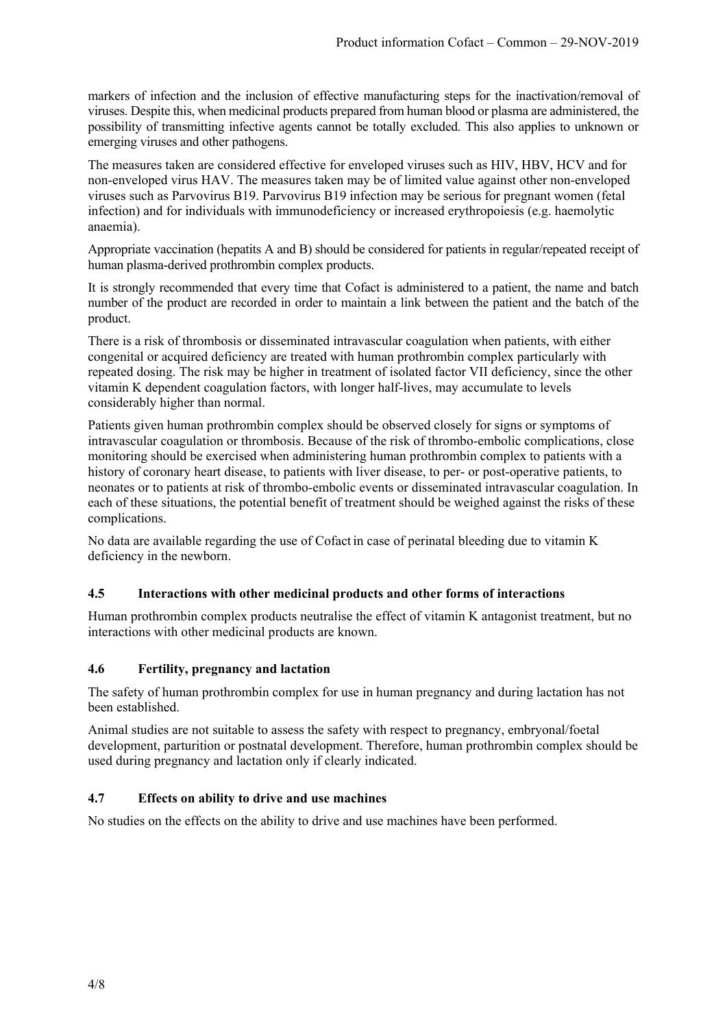markers of infection and the inclusion of effective manufacturing steps for the inactivation/removal of viruses. Despite this, when medicinal products prepared from human blood or plasma are administered, the possibility of transmitting infective agents cannot be totally excluded. This also applies to unknown or emerging viruses and other pathogens.

The measures taken are considered effective for enveloped viruses such as HIV, HBV, HCV and for non-enveloped virus HAV. The measures taken may be of limited value against other non-enveloped viruses such as Parvovirus B19. Parvovirus B19 infection may be serious for pregnant women (fetal infection) and for individuals with immunodeficiency or increased erythropoiesis (e.g. haemolytic anaemia).

Appropriate vaccination (hepatits A and B) should be considered for patients in regular/repeated receipt of human plasma-derived prothrombin complex products.

It is strongly recommended that every time that Cofact is administered to a patient, the name and batch number of the product are recorded in order to maintain a link between the patient and the batch of the product.

There is a risk of thrombosis or disseminated intravascular coagulation when patients, with either congenital or acquired deficiency are treated with human prothrombin complex particularly with repeated dosing. The risk may be higher in treatment of isolated factor VII deficiency, since the other vitamin K dependent coagulation factors, with longer half-lives, may accumulate to levels considerably higher than normal.

Patients given human prothrombin complex should be observed closely for signs or symptoms of intravascular coagulation or thrombosis. Because of the risk of thrombo-embolic complications, close monitoring should be exercised when administering human prothrombin complex to patients with a history of coronary heart disease, to patients with liver disease, to per- or post-operative patients, to neonates or to patients at risk of thrombo-embolic events or disseminated intravascular coagulation. In each of these situations, the potential benefit of treatment should be weighed against the risks of these complications.

No data are available regarding the use of Cofact in case of perinatal bleeding due to vitamin K deficiency in the newborn.

## **4.5 Interactions with other medicinal products and other forms of interactions**

Human prothrombin complex products neutralise the effect of vitamin K antagonist treatment, but no interactions with other medicinal products are known.

#### **4.6 Fertility, pregnancy and lactation**

The safety of human prothrombin complex for use in human pregnancy and during lactation has not been established.

Animal studies are not suitable to assess the safety with respect to pregnancy, embryonal/foetal development, parturition or postnatal development. Therefore, human prothrombin complex should be used during pregnancy and lactation only if clearly indicated.

## **4.7 Effects on ability to drive and use machines**

No studies on the effects on the ability to drive and use machines have been performed.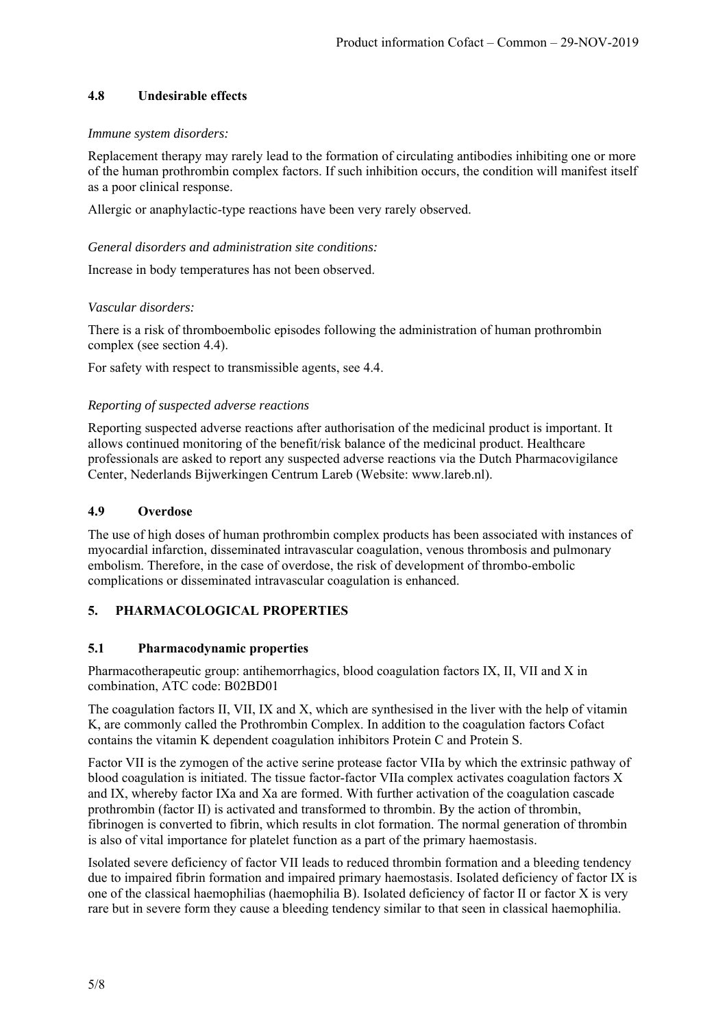# **4.8 Undesirable effects**

### *Immune system disorders:*

Replacement therapy may rarely lead to the formation of circulating antibodies inhibiting one or more of the human prothrombin complex factors. If such inhibition occurs, the condition will manifest itself as a poor clinical response.

Allergic or anaphylactic-type reactions have been very rarely observed.

### *General disorders and administration site conditions:*

Increase in body temperatures has not been observed.

### *Vascular disorders:*

There is a risk of thromboembolic episodes following the administration of human prothrombin complex (see section 4.4).

For safety with respect to transmissible agents, see 4.4.

### *Reporting of suspected adverse reactions*

Reporting suspected adverse reactions after authorisation of the medicinal product is important. It allows continued monitoring of the benefit/risk balance of the medicinal product. Healthcare professionals are asked to report any suspected adverse reactions via the Dutch Pharmacovigilance Center, Nederlands Bijwerkingen Centrum Lareb (Website: www.lareb.nl).

### **4.9 Overdose**

The use of high doses of human prothrombin complex products has been associated with instances of myocardial infarction, disseminated intravascular coagulation, venous thrombosis and pulmonary embolism. Therefore, in the case of overdose, the risk of development of thrombo-embolic complications or disseminated intravascular coagulation is enhanced.

## **5. PHARMACOLOGICAL PROPERTIES**

## **5.1 Pharmacodynamic properties**

Pharmacotherapeutic group: antihemorrhagics, blood coagulation factors IX, II, VII and X in combination, ATC code: B02BD01

The coagulation factors II, VII, IX and X, which are synthesised in the liver with the help of vitamin K, are commonly called the Prothrombin Complex. In addition to the coagulation factors Cofact contains the vitamin K dependent coagulation inhibitors Protein C and Protein S.

Factor VII is the zymogen of the active serine protease factor VIIa by which the extrinsic pathway of blood coagulation is initiated. The tissue factor-factor VIIa complex activates coagulation factors X and IX, whereby factor IXa and Xa are formed. With further activation of the coagulation cascade prothrombin (factor II) is activated and transformed to thrombin. By the action of thrombin, fibrinogen is converted to fibrin, which results in clot formation. The normal generation of thrombin is also of vital importance for platelet function as a part of the primary haemostasis.

Isolated severe deficiency of factor VII leads to reduced thrombin formation and a bleeding tendency due to impaired fibrin formation and impaired primary haemostasis. Isolated deficiency of factor IX is one of the classical haemophilias (haemophilia B). Isolated deficiency of factor II or factor X is very rare but in severe form they cause a bleeding tendency similar to that seen in classical haemophilia.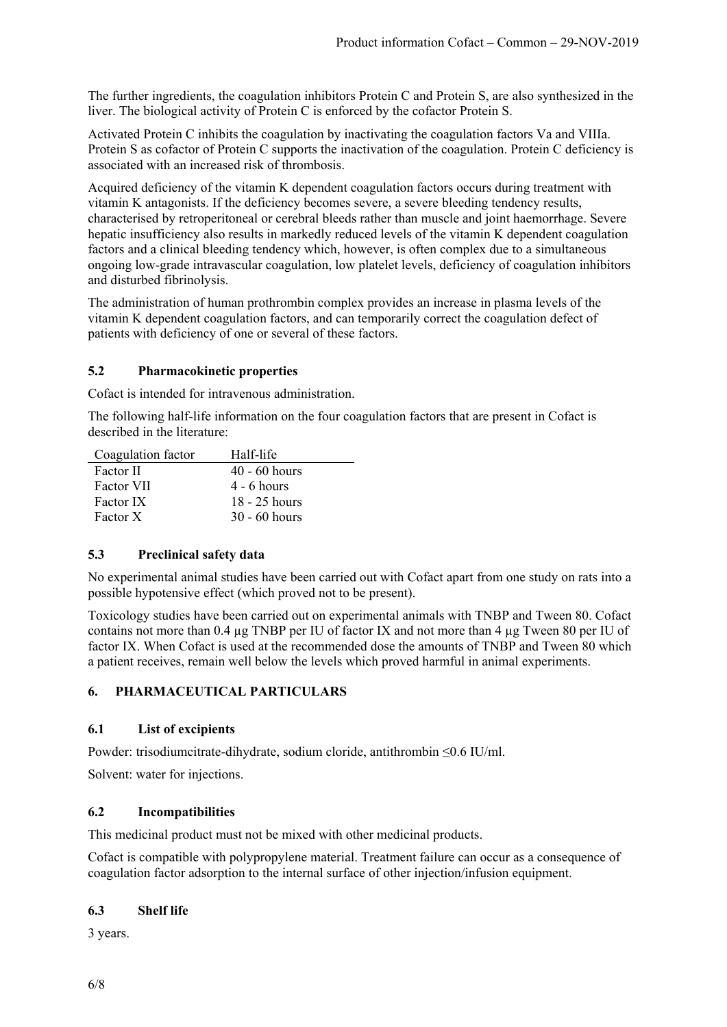The further ingredients, the coagulation inhibitors Protein C and Protein S, are also synthesized in the liver. The biological activity of Protein C is enforced by the cofactor Protein S.

Activated Protein C inhibits the coagulation by inactivating the coagulation factors Va and VIIIa. Protein S as cofactor of Protein C supports the inactivation of the coagulation. Protein C deficiency is associated with an increased risk of thrombosis.

Acquired deficiency of the vitamin K dependent coagulation factors occurs during treatment with vitamin K antagonists. If the deficiency becomes severe, a severe bleeding tendency results, characterised by retroperitoneal or cerebral bleeds rather than muscle and joint haemorrhage. Severe hepatic insufficiency also results in markedly reduced levels of the vitamin K dependent coagulation factors and a clinical bleeding tendency which, however, is often complex due to a simultaneous ongoing low-grade intravascular coagulation, low platelet levels, deficiency of coagulation inhibitors and disturbed fibrinolysis.

The administration of human prothrombin complex provides an increase in plasma levels of the vitamin K dependent coagulation factors, and can temporarily correct the coagulation defect of patients with deficiency of one or several of these factors.

## **5.2 Pharmacokinetic properties**

Cofact is intended for intravenous administration.

The following half-life information on the four coagulation factors that are present in Cofact is described in the literature:

| Coagulation factor | Half-life       |
|--------------------|-----------------|
| Factor II          | $40 - 60$ hours |
| <b>Factor VII</b>  | $4 - 6$ hours   |
| <b>Factor IX</b>   | $18 - 25$ hours |
| Factor X           | $30 - 60$ hours |

## **5.3 Preclinical safety data**

No experimental animal studies have been carried out with Cofact apart from one study on rats into a possible hypotensive effect (which proved not to be present).

Toxicology studies have been carried out on experimental animals with TNBP and Tween 80. Cofact contains not more than 0.4 µg TNBP per IU of factor IX and not more than 4 µg Tween 80 per IU of factor IX. When Cofact is used at the recommended dose the amounts of TNBP and Tween 80 which a patient receives, remain well below the levels which proved harmful in animal experiments.

## **6. PHARMACEUTICAL PARTICULARS**

## **6.1 List of excipients**

Powder: trisodiumcitrate-dihydrate, sodium cloride, antithrombin ≤0.6 IU/ml.

Solvent: water for injections.

## **6.2 Incompatibilities**

This medicinal product must not be mixed with other medicinal products.

Cofact is compatible with polypropylene material. Treatment failure can occur as a consequence of coagulation factor adsorption to the internal surface of other injection/infusion equipment.

## **6.3 Shelf life**

3 years.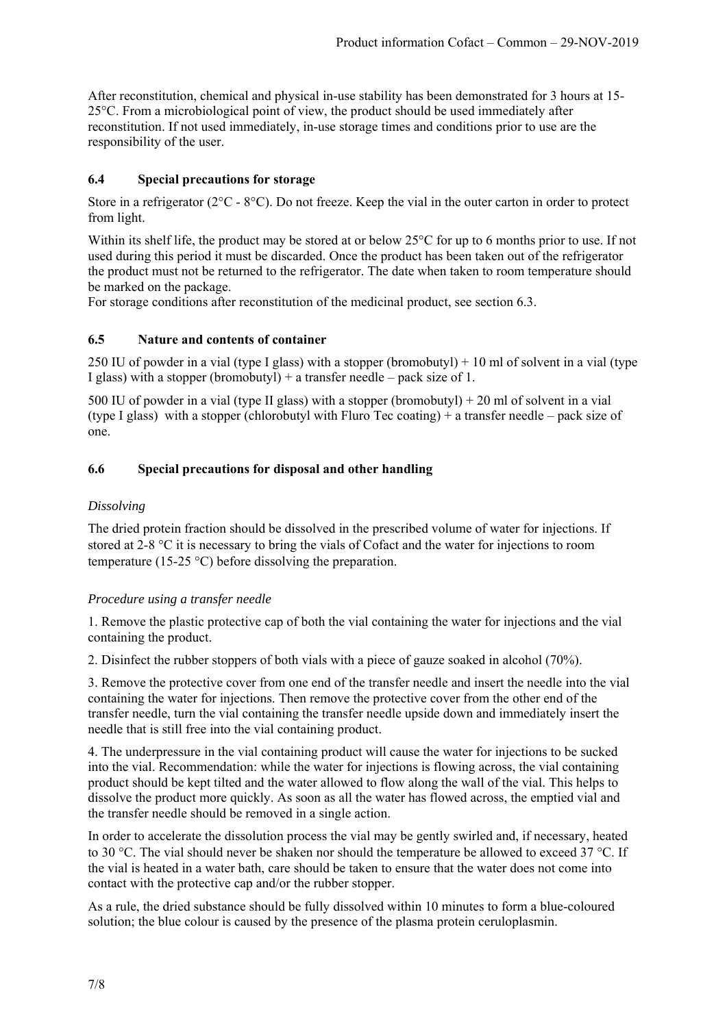After reconstitution, chemical and physical in-use stability has been demonstrated for 3 hours at 15- 25°C. From a microbiological point of view, the product should be used immediately after reconstitution. If not used immediately, in-use storage times and conditions prior to use are the responsibility of the user.

# **6.4 Special precautions for storage**

Store in a refrigerator ( $2^{\circ}C - 8^{\circ}C$ ). Do not freeze. Keep the vial in the outer carton in order to protect from light.

Within its shelf life, the product may be stored at or below 25<sup>o</sup>C for up to 6 months prior to use. If not used during this period it must be discarded. Once the product has been taken out of the refrigerator the product must not be returned to the refrigerator. The date when taken to room temperature should be marked on the package.

For storage conditions after reconstitution of the medicinal product, see section 6.3.

## **6.5 Nature and contents of container**

250 IU of powder in a vial (type I glass) with a stopper (bromobutyl) + 10 ml of solvent in a vial (type I glass) with a stopper (bromobutyl) + a transfer needle – pack size of 1.

500 IU of powder in a vial (type II glass) with a stopper (bromobutyl) + 20 ml of solvent in a vial (type I glass) with a stopper (chlorobutyl with Fluro Tec coating) + a transfer needle – pack size of one.

# **6.6 Special precautions for disposal and other handling**

# *Dissolving*

The dried protein fraction should be dissolved in the prescribed volume of water for injections. If stored at 2-8  $\degree$ C it is necessary to bring the vials of Cofact and the water for injections to room temperature (15-25 °C) before dissolving the preparation.

## *Procedure using a transfer needle*

1. Remove the plastic protective cap of both the vial containing the water for injections and the vial containing the product.

2. Disinfect the rubber stoppers of both vials with a piece of gauze soaked in alcohol (70%).

3. Remove the protective cover from one end of the transfer needle and insert the needle into the vial containing the water for injections. Then remove the protective cover from the other end of the transfer needle, turn the vial containing the transfer needle upside down and immediately insert the needle that is still free into the vial containing product.

4. The underpressure in the vial containing product will cause the water for injections to be sucked into the vial. Recommendation: while the water for injections is flowing across, the vial containing product should be kept tilted and the water allowed to flow along the wall of the vial. This helps to dissolve the product more quickly. As soon as all the water has flowed across, the emptied vial and the transfer needle should be removed in a single action.

In order to accelerate the dissolution process the vial may be gently swirled and, if necessary, heated to 30 °C. The vial should never be shaken nor should the temperature be allowed to exceed 37 °C. If the vial is heated in a water bath, care should be taken to ensure that the water does not come into contact with the protective cap and/or the rubber stopper.

As a rule, the dried substance should be fully dissolved within 10 minutes to form a blue-coloured solution; the blue colour is caused by the presence of the plasma protein ceruloplasmin.